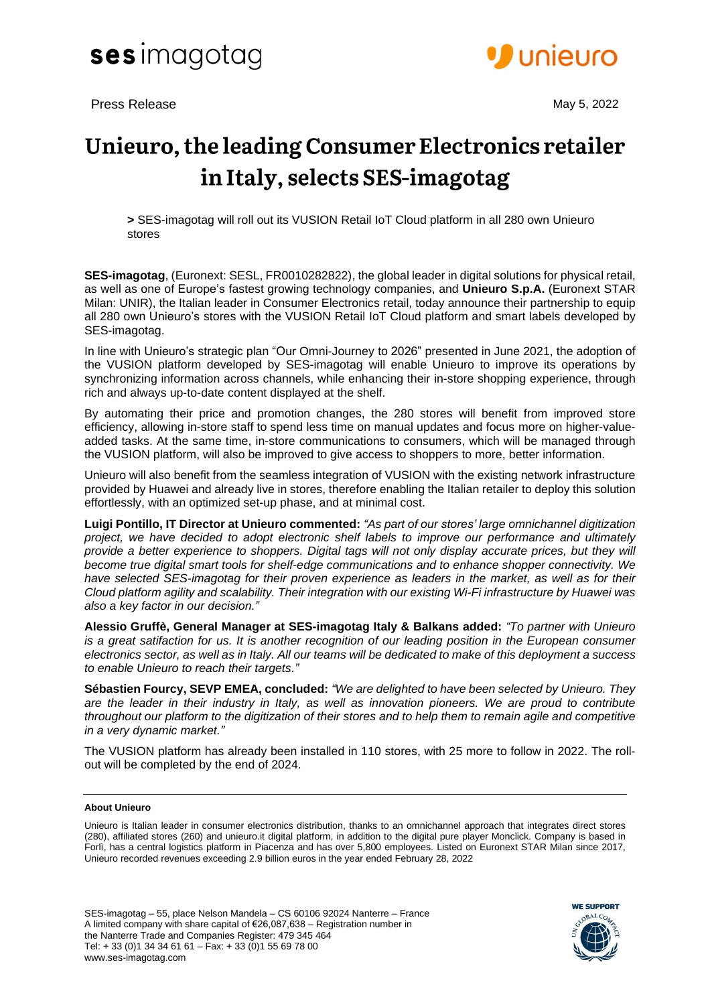

Press Release May 5, 2022



# Unieuro, the leading Consumer Electronics retailer in Italy, selects SES-imagotag

**>** SES-imagotag will roll out its VUSION Retail IoT Cloud platform in all 280 own Unieuro stores

**SES-imagotag**, (Euronext: SESL, FR0010282822), the global leader in digital solutions for physical retail, as well as one of Europe's fastest growing technology companies, and **Unieuro S.p.A.** (Euronext STAR Milan: UNIR), the Italian leader in Consumer Electronics retail, today announce their partnership to equip all 280 own Unieuro's stores with the VUSION Retail IoT Cloud platform and smart labels developed by SES-imagotag.

In line with Unieuro's strategic plan "Our Omni-Journey to 2026" presented in June 2021, the adoption of the VUSION platform developed by SES-imagotag will enable Unieuro to improve its operations by synchronizing information across channels, while enhancing their in-store shopping experience, through rich and always up-to-date content displayed at the shelf.

By automating their price and promotion changes, the 280 stores will benefit from improved store efficiency, allowing in-store staff to spend less time on manual updates and focus more on higher-valueadded tasks. At the same time, in-store communications to consumers, which will be managed through the VUSION platform, will also be improved to give access to shoppers to more, better information.

Unieuro will also benefit from the seamless integration of VUSION with the existing network infrastructure provided by Huawei and already live in stores, therefore enabling the Italian retailer to deploy this solution effortlessly, with an optimized set-up phase, and at minimal cost.

**Luigi Pontillo, IT Director at Unieuro commented:** *"As part of our stores' large omnichannel digitization project, we have decided to adopt electronic shelf labels to improve our performance and ultimately* provide a better experience to shoppers. Digital tags will not only display accurate prices, but they will *become true digital smart tools for shelf-edge communications and to enhance shopper connectivity. We have selected SES-imagotag for their proven experience as leaders in the market, as well as for their Cloud platform agility and scalability. Their integration with our existing Wi-Fi infrastructure by Huawei was also a key factor in our decision."*

**Alessio Gruffè, General Manager at SES-imagotag Italy & Balkans added:** *"To partner with Unieuro* is a great satifaction for us. It is another recognition of our leading position in the European consumer electronics sector, as well as in Italy. All our teams will be dedicated to make of this deployment a success *to enable Unieuro to reach their targets."*

**Sébastien Fourcy, SEVP EMEA, concluded:** *"We are delighted to have been selected by Unieuro. They* are the leader in their industry in Italy, as well as innovation pioneers. We are proud to contribute throughout our platform to the digitization of their stores and to help them to remain agile and competitive *in a very dynamic market."*

The VUSION platform has already been installed in 110 stores, with 25 more to follow in 2022. The rollout will be completed by the end of 2024.

# **About Unieuro**

Unieuro is Italian leader in consumer electronics distribution, thanks to an omnichannel approach that integrates direct stores (280), affiliated stores (260) and unieuro.it digital platform, in addition to the digital pure player Monclick. Company is based in Forlì, has a central logistics platform in Piacenza and has over 5,800 employees. Listed on Euronext STAR Milan since 2017, Unieuro recorded revenues exceeding 2.9 billion euros in the year ended February 28, 2022